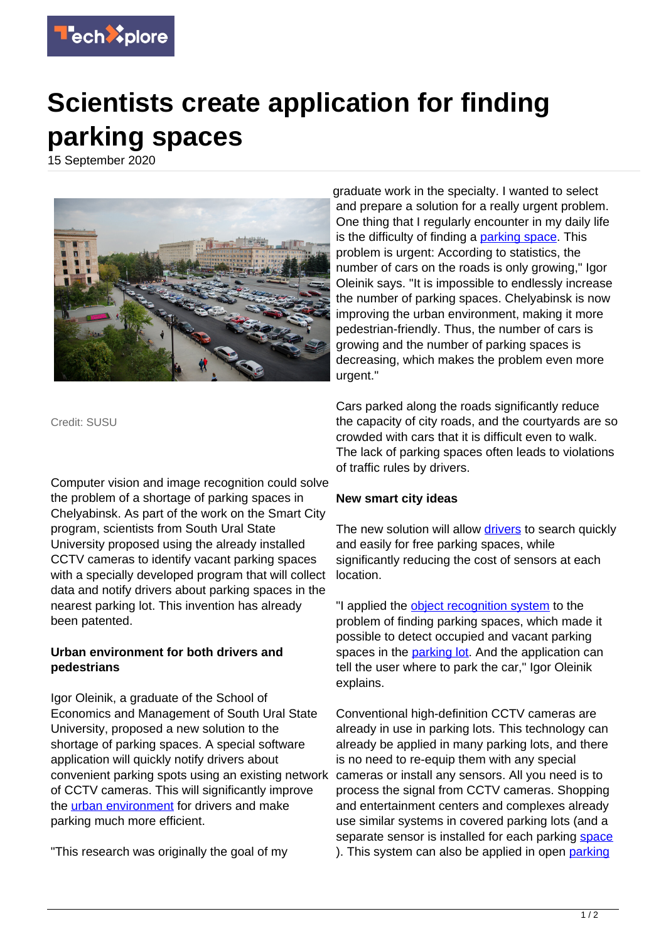

## **Scientists create application for finding parking spaces**

15 September 2020



Credit: SUSU

Computer vision and image recognition could solve the problem of a shortage of parking spaces in Chelyabinsk. As part of the work on the Smart City program, scientists from South Ural State University proposed using the already installed CCTV cameras to identify vacant parking spaces with a specially developed program that will collect data and notify drivers about parking spaces in the nearest parking lot. This invention has already been patented.

## **Urban environment for both drivers and pedestrians**

Igor Oleinik, a graduate of the School of Economics and Management of South Ural State University, proposed a new solution to the shortage of parking spaces. A special software application will quickly notify drivers about convenient parking spots using an existing network of CCTV cameras. This will significantly improve the [urban environment](https://techxplore.com/tags/urban+environment/) for drivers and make parking much more efficient.

"This research was originally the goal of my

graduate work in the specialty. I wanted to select and prepare a solution for a really urgent problem. One thing that I regularly encounter in my daily life is the difficulty of finding a **parking space**. This problem is urgent: According to statistics, the number of cars on the roads is only growing," Igor Oleinik says. "It is impossible to endlessly increase the number of parking spaces. Chelyabinsk is now improving the urban environment, making it more pedestrian-friendly. Thus, the number of cars is growing and the number of parking spaces is decreasing, which makes the problem even more urgent."

Cars parked along the roads significantly reduce the capacity of city roads, and the courtyards are so crowded with cars that it is difficult even to walk. The lack of parking spaces often leads to violations of traffic rules by drivers.

## **New smart city ideas**

The new solution will allow [drivers](https://techxplore.com/tags/drivers/) to search quickly and easily for free parking spaces, while significantly reducing the cost of sensors at each location.

"I applied the [object recognition system](https://techxplore.com/tags/object+recognition+system/) to the problem of finding parking spaces, which made it possible to detect occupied and vacant parking spaces in the **parking lot**. And the application can tell the user where to park the car," Igor Oleinik explains.

Conventional high-definition CCTV cameras are already in use in parking lots. This technology can already be applied in many parking lots, and there is no need to re-equip them with any special cameras or install any sensors. All you need is to process the signal from CCTV cameras. Shopping and entertainment centers and complexes already use similar systems in covered parking lots (and a separate sensor is installed for each parking [space](https://techxplore.com/tags/space/) ). This system can also be applied in open [parking](https://techxplore.com/tags/parking/)